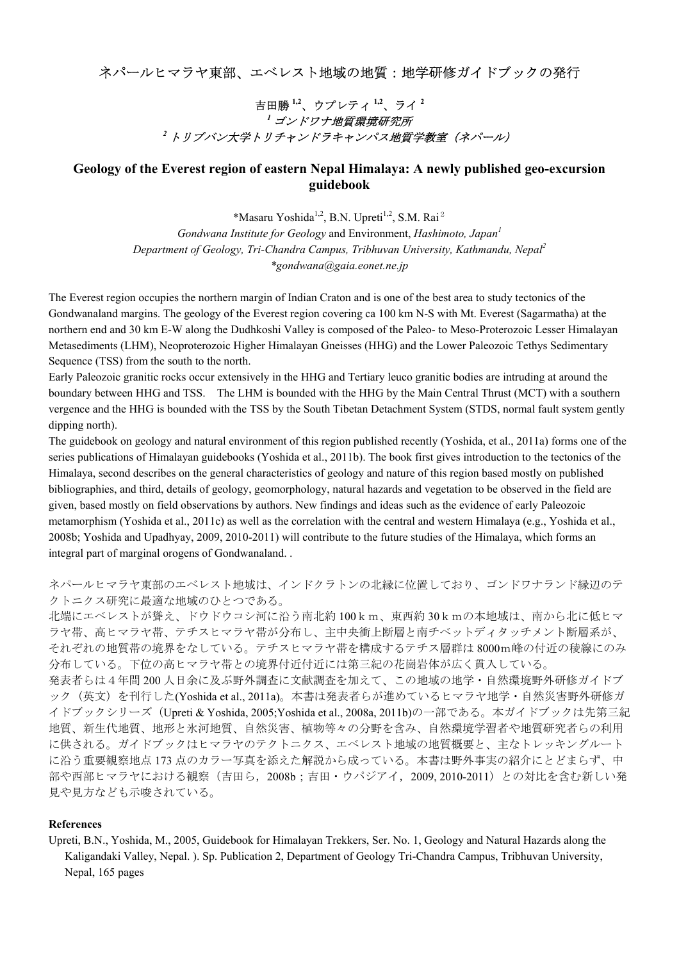## ネパールヒマラヤ東部、エベレスト地域の地質:地学研修ガイドブックの発行

## 吉田勝 **1,2**、ウプレティ **1,2**、ライ **<sup>2</sup>** *<sup>1</sup>*ゴンドワナ地質環境研究所 *<sup>2</sup>*トリブバン大学トリチャンドラキャンパス地質学教室(ネパール)

## **Geology of the Everest region of eastern Nepal Himalaya: A newly published geo-excursion guidebook**

\*Masaru Yoshida<sup>1,2</sup>, B.N. Upreti<sup>1,2</sup>, S.M. Rai<sup>2</sup>

*Gondwana Institute for Geology* and Environment, *Hashimoto, Japan<sup>1</sup> Department of Geology, Tri-Chandra Campus, Tribhuvan University, Kathmandu, Nepal2 \*gondwana@gaia.eonet.ne.jp*

The Everest region occupies the northern margin of Indian Craton and is one of the best area to study tectonics of the Gondwanaland margins. The geology of the Everest region covering ca 100 km N-S with Mt. Everest (Sagarmatha) at the northern end and 30 km E-W along the Dudhkoshi Valley is composed of the Paleo- to Meso-Proterozoic Lesser Himalayan Metasediments (LHM), Neoproterozoic Higher Himalayan Gneisses (HHG) and the Lower Paleozoic Tethys Sedimentary Sequence (TSS) from the south to the north.

Early Paleozoic granitic rocks occur extensively in the HHG and Tertiary leuco granitic bodies are intruding at around the boundary between HHG and TSS. The LHM is bounded with the HHG by the Main Central Thrust (MCT) with a southern vergence and the HHG is bounded with the TSS by the South Tibetan Detachment System (STDS, normal fault system gently dipping north).

The guidebook on geology and natural environment of this region published recently (Yoshida, et al., 2011a) forms one of the series publications of Himalayan guidebooks (Yoshida et al., 2011b). The book first gives introduction to the tectonics of the Himalaya, second describes on the general characteristics of geology and nature of this region based mostly on published bibliographies, and third, details of geology, geomorphology, natural hazards and vegetation to be observed in the field are given, based mostly on field observations by authors. New findings and ideas such as the evidence of early Paleozoic metamorphism (Yoshida et al., 2011c) as well as the correlation with the central and western Himalaya (e.g., Yoshida et al., 2008b; Yoshida and Upadhyay, 2009, 2010-2011) will contribute to the future studies of the Himalaya, which forms an integral part of marginal orogens of Gondwanaland. .

ネパールヒマラヤ東部のエベレスト地域は、インドクラトンの北縁に位置しており、ゴンドワナランド縁辺のテ クトニクス研究に最適な地域のひとつである。

北端にエベレストが聳え、ドウドウコシ河に沿う南北約 100km、東西約 30kmの本地域は、南から北に低ヒマ ラヤ帯、高ヒマラヤ帯、テチスヒマラヤ帯が分布し、主中央衝上断層と南チベットディタッチメント断層系が、 それぞれの地質帯の境界をなしている。テチスヒマラヤ帯を構成するテチス層群は 8000m峰の付近の稜線にのみ 分布している。下位の高ヒマラヤ帯との境界付近付近には第三紀の花崗岩体が広く貫入している。

発表者らは4年間 200 人日余に及ぶ野外調査に文献調査を加えて、この地域の地学・自然環境野外研修ガイドブ ック(英文)を刊行した(Yoshida et al., 2011a)。本書は発表者らが進めているヒマラヤ地学・自然災害野外研修ガ イドブックシリーズ(Upreti & Yoshida, 2005;Yoshida et al., 2008a, 2011b)の一部である。本ガイドブックは先第三紀 地質、新生代地質、地形と氷河地質、自然災害、植物等々の分野を含み、自然環境学習者や地質研究者らの利用 に供される。ガイドブックはヒマラヤのテクトニクス、エベレスト地域の地質概要と、主なトレッキングルート に沿う重要観察地点 173 点のカラー写真を添えた解説から成っている。本書は野外事実の紹介にとどまらず、中 部や西部ヒマラヤにおける観察(吉田ら, 2008b;吉田・ウパジアイ, 2009, 2010-2011)との対比を含む新しい発 見や見方なども示唆されている。

## **References**

Upreti, B.N., Yoshida, M., 2005, Guidebook for Himalayan Trekkers, Ser. No. 1, Geology and Natural Hazards along the Kaligandaki Valley, Nepal. ). Sp. Publication 2, Department of Geology Tri-Chandra Campus, Tribhuvan University, Nepal, 165 pages